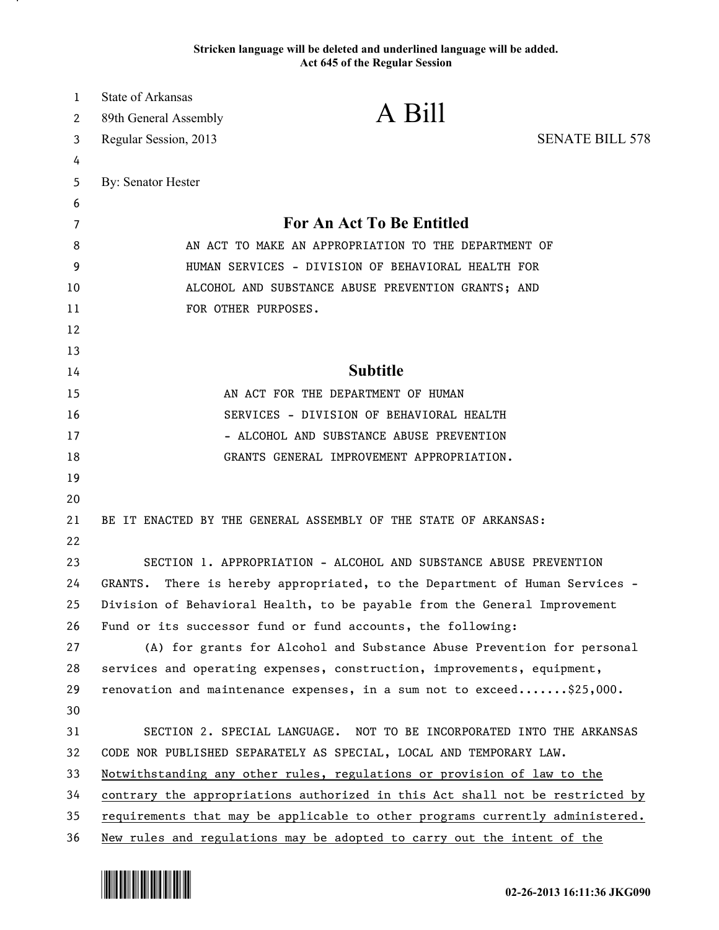## **Stricken language will be deleted and underlined language will be added. Act 645 of the Regular Session**

| $\mathbf{1}$ | <b>State of Arkansas</b>                             |                                                                               |                        |
|--------------|------------------------------------------------------|-------------------------------------------------------------------------------|------------------------|
| 2            | 89th General Assembly                                | A Bill                                                                        |                        |
| 3            | Regular Session, 2013                                |                                                                               | <b>SENATE BILL 578</b> |
| 4            |                                                      |                                                                               |                        |
| 5            | By: Senator Hester                                   |                                                                               |                        |
| 6            |                                                      |                                                                               |                        |
| 7            |                                                      | <b>For An Act To Be Entitled</b>                                              |                        |
| 8            | AN ACT TO MAKE AN APPROPRIATION TO THE DEPARTMENT OF |                                                                               |                        |
| 9            |                                                      | HUMAN SERVICES - DIVISION OF BEHAVIORAL HEALTH FOR                            |                        |
| 10           |                                                      | ALCOHOL AND SUBSTANCE ABUSE PREVENTION GRANTS; AND                            |                        |
| 11           |                                                      | FOR OTHER PURPOSES.                                                           |                        |
| 12           |                                                      |                                                                               |                        |
| 13           |                                                      |                                                                               |                        |
| 14           |                                                      | <b>Subtitle</b>                                                               |                        |
| 15           |                                                      | AN ACT FOR THE DEPARTMENT OF HUMAN                                            |                        |
| 16           |                                                      | SERVICES - DIVISION OF BEHAVIORAL HEALTH                                      |                        |
| 17           |                                                      | - ALCOHOL AND SUBSTANCE ABUSE PREVENTION                                      |                        |
| 18           |                                                      | GRANTS GENERAL IMPROVEMENT APPROPRIATION.                                     |                        |
| 19           |                                                      |                                                                               |                        |
| 20           |                                                      |                                                                               |                        |
| 21           |                                                      | BE IT ENACTED BY THE GENERAL ASSEMBLY OF THE STATE OF ARKANSAS:               |                        |
| 22           |                                                      |                                                                               |                        |
| 23           |                                                      | SECTION 1. APPROPRIATION - ALCOHOL AND SUBSTANCE ABUSE PREVENTION             |                        |
| 24           | GRANTS.                                              | There is hereby appropriated, to the Department of Human Services -           |                        |
| 25           |                                                      | Division of Behavioral Health, to be payable from the General Improvement     |                        |
| 26           |                                                      | Fund or its successor fund or fund accounts, the following:                   |                        |
| 27           |                                                      | (A) for grants for Alcohol and Substance Abuse Prevention for personal        |                        |
| 28           |                                                      | services and operating expenses, construction, improvements, equipment,       |                        |
| 29           |                                                      | renovation and maintenance expenses, in a sum not to exceed\$25,000.          |                        |
| 30           |                                                      |                                                                               |                        |
| 31           |                                                      | SECTION 2. SPECIAL LANGUAGE. NOT TO BE INCORPORATED INTO THE ARKANSAS         |                        |
| 32           |                                                      | CODE NOR PUBLISHED SEPARATELY AS SPECIAL, LOCAL AND TEMPORARY LAW.            |                        |
| 33           |                                                      | Notwithstanding any other rules, regulations or provision of law to the       |                        |
| 34           |                                                      | contrary the appropriations authorized in this Act shall not be restricted by |                        |
| 35           |                                                      | requirements that may be applicable to other programs currently administered. |                        |
| 36           |                                                      | New rules and regulations may be adopted to carry out the intent of the       |                        |



.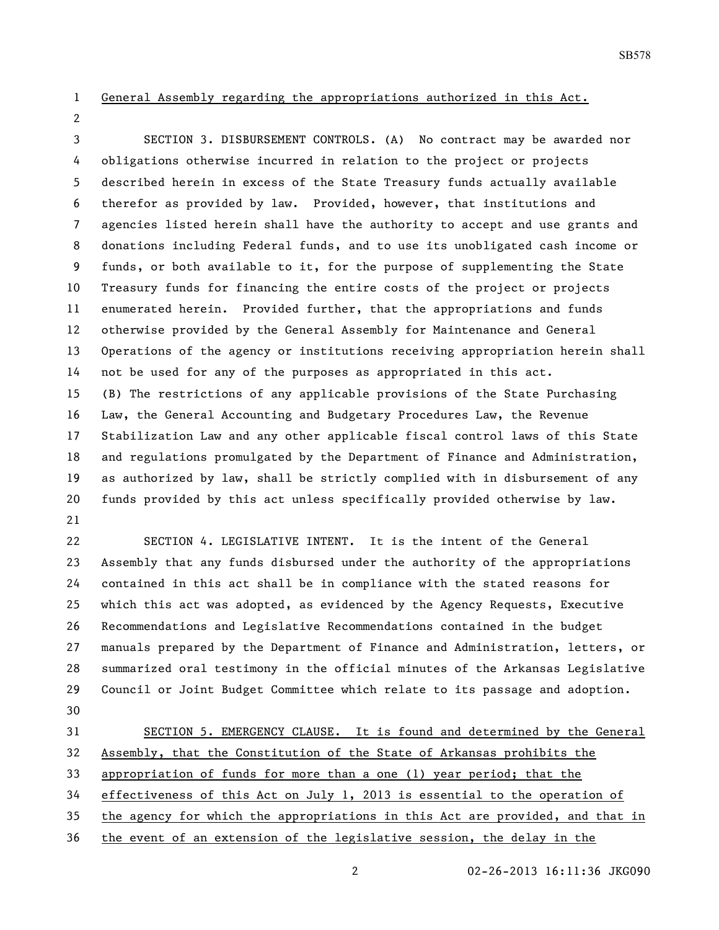## General Assembly regarding the appropriations authorized in this Act.

 SECTION 3. DISBURSEMENT CONTROLS. (A) No contract may be awarded nor obligations otherwise incurred in relation to the project or projects described herein in excess of the State Treasury funds actually available therefor as provided by law. Provided, however, that institutions and agencies listed herein shall have the authority to accept and use grants and donations including Federal funds, and to use its unobligated cash income or funds, or both available to it, for the purpose of supplementing the State Treasury funds for financing the entire costs of the project or projects enumerated herein. Provided further, that the appropriations and funds otherwise provided by the General Assembly for Maintenance and General Operations of the agency or institutions receiving appropriation herein shall not be used for any of the purposes as appropriated in this act. (B) The restrictions of any applicable provisions of the State Purchasing Law, the General Accounting and Budgetary Procedures Law, the Revenue Stabilization Law and any other applicable fiscal control laws of this State and regulations promulgated by the Department of Finance and Administration, as authorized by law, shall be strictly complied with in disbursement of any funds provided by this act unless specifically provided otherwise by law. 

 SECTION 4. LEGISLATIVE INTENT. It is the intent of the General Assembly that any funds disbursed under the authority of the appropriations contained in this act shall be in compliance with the stated reasons for which this act was adopted, as evidenced by the Agency Requests, Executive Recommendations and Legislative Recommendations contained in the budget manuals prepared by the Department of Finance and Administration, letters, or summarized oral testimony in the official minutes of the Arkansas Legislative Council or Joint Budget Committee which relate to its passage and adoption. 

 SECTION 5. EMERGENCY CLAUSE. It is found and determined by the General Assembly, that the Constitution of the State of Arkansas prohibits the appropriation of funds for more than a one (1) year period; that the effectiveness of this Act on July 1, 2013 is essential to the operation of the agency for which the appropriations in this Act are provided, and that in the event of an extension of the legislative session, the delay in the

02-26-2013 16:11:36 JKG090